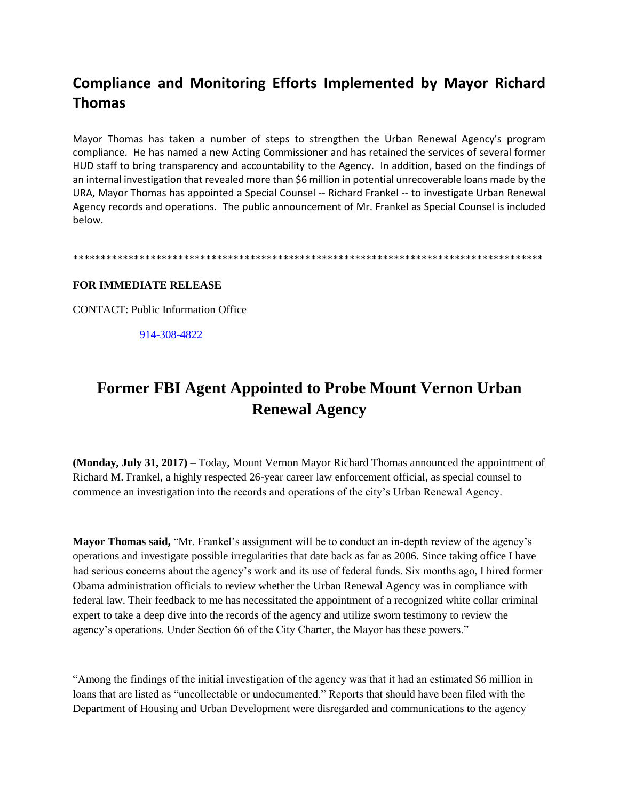## **Compliance and Monitoring Efforts Implemented by Mayor Richard Thomas**

Mayor Thomas has taken a number of steps to strengthen the Urban Renewal Agency's program compliance. He has named a new Acting Commissioner and has retained the services of several former HUD staff to bring transparency and accountability to the Agency. In addition, based on the findings of an internal investigation that revealed more than \$6 million in potential unrecoverable loans made by the URA, Mayor Thomas has appointed a Special Counsel -- Richard Frankel -- to investigate Urban Renewal Agency records and operations. The public announcement of Mr. Frankel as Special Counsel is included below.

\*\*\*\*\*\*\*\*\*\*\*\*\*\*\*\*\*\*\*\*\*\*\*\*\*\*\*\*\*\*\*\*\*\*\*\*\*\*\*\*\*\*\*\*\*\*\*\*\*\*\*\*\*\*\*\*\*\*\*\*\*\*\*\*\*\*\*\*\*\*\*\*\*\*\*\*\*\*\*\*\*\*\*\*\*

## **FOR IMMEDIATE RELEASE**

CONTACT: Public Information Office

[914-308-4822](tel:(914)%20308-4822)

## **Former FBI Agent Appointed to Probe Mount Vernon Urban Renewal Agency**

**(Monday, July 31, 2017) –** Today, Mount Vernon Mayor Richard Thomas announced the appointment of Richard M. Frankel, a highly respected 26-year career law enforcement official, as special counsel to commence an investigation into the records and operations of the city's Urban Renewal Agency.

**Mayor Thomas said,** "Mr. Frankel's assignment will be to conduct an in-depth review of the agency's operations and investigate possible irregularities that date back as far as 2006. Since taking office I have had serious concerns about the agency's work and its use of federal funds. Six months ago, I hired former Obama administration officials to review whether the Urban Renewal Agency was in compliance with federal law. Their feedback to me has necessitated the appointment of a recognized white collar criminal expert to take a deep dive into the records of the agency and utilize sworn testimony to review the agency's operations. Under Section 66 of the City Charter, the Mayor has these powers."

"Among the findings of the initial investigation of the agency was that it had an estimated \$6 million in loans that are listed as "uncollectable or undocumented." Reports that should have been filed with the Department of Housing and Urban Development were disregarded and communications to the agency